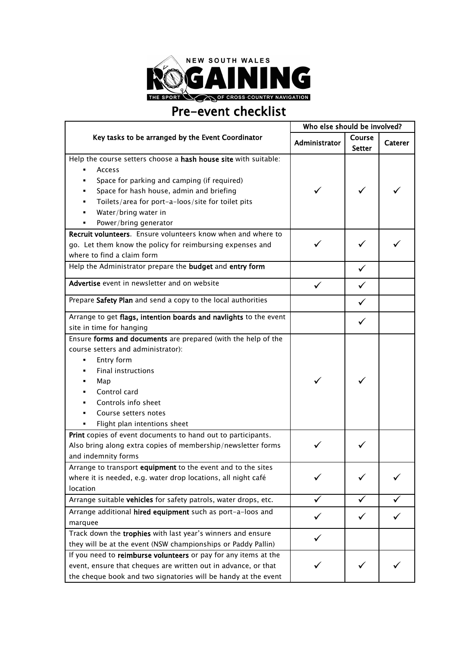

## Pre-event checklist

| Key tasks to be arranged by the Event Coordinator<br>Course<br>Administrator<br><b>Caterer</b><br><b>Setter</b><br>Help the course setters choose a hash house site with suitable:<br>Access<br>Space for parking and camping (if required)<br>Space for hash house, admin and briefing<br>Toilets/area for port-a-loos/site for toilet pits<br>Water/bring water in<br>Power/bring generator<br>Recruit volunteers. Ensure volunteers know when and where to<br>go. Let them know the policy for reimbursing expenses and<br>where to find a claim form<br>Help the Administrator prepare the budget and entry form<br>✓<br>Advertise event in newsletter and on website<br>Prepare Safety Plan and send a copy to the local authorities<br>Arrange to get flags, intention boards and navlights to the event<br>site in time for hanging<br>Ensure forms and documents are prepared (with the help of the<br>course setters and administrator):<br>Entry form<br><b>Final instructions</b><br>Map<br>Control card<br>Controls info sheet<br>Course setters notes<br>Flight plan intentions sheet<br>Print copies of event documents to hand out to participants.<br>Also bring along extra copies of membership/newsletter forms<br>and indemnity forms<br>Arrange to transport equipment to the event and to the sites<br>where it is needed, e.g. water drop locations, all night café<br>location<br>Arrange suitable vehicles for safety patrols, water drops, etc.<br>✓<br>Arrange additional hired equipment such as port-a-loos and<br>marquee<br>Track down the trophies with last year's winners and ensure<br>they will be at the event (NSW championships or Paddy Pallin)<br>If you need to reimburse volunteers or pay for any items at the |                                                                | Who else should be involved? |  |  |
|------------------------------------------------------------------------------------------------------------------------------------------------------------------------------------------------------------------------------------------------------------------------------------------------------------------------------------------------------------------------------------------------------------------------------------------------------------------------------------------------------------------------------------------------------------------------------------------------------------------------------------------------------------------------------------------------------------------------------------------------------------------------------------------------------------------------------------------------------------------------------------------------------------------------------------------------------------------------------------------------------------------------------------------------------------------------------------------------------------------------------------------------------------------------------------------------------------------------------------------------------------------------------------------------------------------------------------------------------------------------------------------------------------------------------------------------------------------------------------------------------------------------------------------------------------------------------------------------------------------------------------------------------------------------------------------------------------------------------------------------------------|----------------------------------------------------------------|------------------------------|--|--|
|                                                                                                                                                                                                                                                                                                                                                                                                                                                                                                                                                                                                                                                                                                                                                                                                                                                                                                                                                                                                                                                                                                                                                                                                                                                                                                                                                                                                                                                                                                                                                                                                                                                                                                                                                            |                                                                |                              |  |  |
|                                                                                                                                                                                                                                                                                                                                                                                                                                                                                                                                                                                                                                                                                                                                                                                                                                                                                                                                                                                                                                                                                                                                                                                                                                                                                                                                                                                                                                                                                                                                                                                                                                                                                                                                                            |                                                                |                              |  |  |
|                                                                                                                                                                                                                                                                                                                                                                                                                                                                                                                                                                                                                                                                                                                                                                                                                                                                                                                                                                                                                                                                                                                                                                                                                                                                                                                                                                                                                                                                                                                                                                                                                                                                                                                                                            |                                                                |                              |  |  |
|                                                                                                                                                                                                                                                                                                                                                                                                                                                                                                                                                                                                                                                                                                                                                                                                                                                                                                                                                                                                                                                                                                                                                                                                                                                                                                                                                                                                                                                                                                                                                                                                                                                                                                                                                            |                                                                |                              |  |  |
|                                                                                                                                                                                                                                                                                                                                                                                                                                                                                                                                                                                                                                                                                                                                                                                                                                                                                                                                                                                                                                                                                                                                                                                                                                                                                                                                                                                                                                                                                                                                                                                                                                                                                                                                                            |                                                                |                              |  |  |
|                                                                                                                                                                                                                                                                                                                                                                                                                                                                                                                                                                                                                                                                                                                                                                                                                                                                                                                                                                                                                                                                                                                                                                                                                                                                                                                                                                                                                                                                                                                                                                                                                                                                                                                                                            |                                                                |                              |  |  |
|                                                                                                                                                                                                                                                                                                                                                                                                                                                                                                                                                                                                                                                                                                                                                                                                                                                                                                                                                                                                                                                                                                                                                                                                                                                                                                                                                                                                                                                                                                                                                                                                                                                                                                                                                            |                                                                |                              |  |  |
|                                                                                                                                                                                                                                                                                                                                                                                                                                                                                                                                                                                                                                                                                                                                                                                                                                                                                                                                                                                                                                                                                                                                                                                                                                                                                                                                                                                                                                                                                                                                                                                                                                                                                                                                                            |                                                                |                              |  |  |
|                                                                                                                                                                                                                                                                                                                                                                                                                                                                                                                                                                                                                                                                                                                                                                                                                                                                                                                                                                                                                                                                                                                                                                                                                                                                                                                                                                                                                                                                                                                                                                                                                                                                                                                                                            |                                                                |                              |  |  |
|                                                                                                                                                                                                                                                                                                                                                                                                                                                                                                                                                                                                                                                                                                                                                                                                                                                                                                                                                                                                                                                                                                                                                                                                                                                                                                                                                                                                                                                                                                                                                                                                                                                                                                                                                            |                                                                |                              |  |  |
|                                                                                                                                                                                                                                                                                                                                                                                                                                                                                                                                                                                                                                                                                                                                                                                                                                                                                                                                                                                                                                                                                                                                                                                                                                                                                                                                                                                                                                                                                                                                                                                                                                                                                                                                                            |                                                                |                              |  |  |
|                                                                                                                                                                                                                                                                                                                                                                                                                                                                                                                                                                                                                                                                                                                                                                                                                                                                                                                                                                                                                                                                                                                                                                                                                                                                                                                                                                                                                                                                                                                                                                                                                                                                                                                                                            |                                                                |                              |  |  |
|                                                                                                                                                                                                                                                                                                                                                                                                                                                                                                                                                                                                                                                                                                                                                                                                                                                                                                                                                                                                                                                                                                                                                                                                                                                                                                                                                                                                                                                                                                                                                                                                                                                                                                                                                            |                                                                |                              |  |  |
|                                                                                                                                                                                                                                                                                                                                                                                                                                                                                                                                                                                                                                                                                                                                                                                                                                                                                                                                                                                                                                                                                                                                                                                                                                                                                                                                                                                                                                                                                                                                                                                                                                                                                                                                                            |                                                                |                              |  |  |
|                                                                                                                                                                                                                                                                                                                                                                                                                                                                                                                                                                                                                                                                                                                                                                                                                                                                                                                                                                                                                                                                                                                                                                                                                                                                                                                                                                                                                                                                                                                                                                                                                                                                                                                                                            |                                                                |                              |  |  |
|                                                                                                                                                                                                                                                                                                                                                                                                                                                                                                                                                                                                                                                                                                                                                                                                                                                                                                                                                                                                                                                                                                                                                                                                                                                                                                                                                                                                                                                                                                                                                                                                                                                                                                                                                            |                                                                |                              |  |  |
|                                                                                                                                                                                                                                                                                                                                                                                                                                                                                                                                                                                                                                                                                                                                                                                                                                                                                                                                                                                                                                                                                                                                                                                                                                                                                                                                                                                                                                                                                                                                                                                                                                                                                                                                                            |                                                                |                              |  |  |
|                                                                                                                                                                                                                                                                                                                                                                                                                                                                                                                                                                                                                                                                                                                                                                                                                                                                                                                                                                                                                                                                                                                                                                                                                                                                                                                                                                                                                                                                                                                                                                                                                                                                                                                                                            |                                                                |                              |  |  |
|                                                                                                                                                                                                                                                                                                                                                                                                                                                                                                                                                                                                                                                                                                                                                                                                                                                                                                                                                                                                                                                                                                                                                                                                                                                                                                                                                                                                                                                                                                                                                                                                                                                                                                                                                            |                                                                |                              |  |  |
|                                                                                                                                                                                                                                                                                                                                                                                                                                                                                                                                                                                                                                                                                                                                                                                                                                                                                                                                                                                                                                                                                                                                                                                                                                                                                                                                                                                                                                                                                                                                                                                                                                                                                                                                                            |                                                                |                              |  |  |
|                                                                                                                                                                                                                                                                                                                                                                                                                                                                                                                                                                                                                                                                                                                                                                                                                                                                                                                                                                                                                                                                                                                                                                                                                                                                                                                                                                                                                                                                                                                                                                                                                                                                                                                                                            |                                                                |                              |  |  |
|                                                                                                                                                                                                                                                                                                                                                                                                                                                                                                                                                                                                                                                                                                                                                                                                                                                                                                                                                                                                                                                                                                                                                                                                                                                                                                                                                                                                                                                                                                                                                                                                                                                                                                                                                            |                                                                |                              |  |  |
|                                                                                                                                                                                                                                                                                                                                                                                                                                                                                                                                                                                                                                                                                                                                                                                                                                                                                                                                                                                                                                                                                                                                                                                                                                                                                                                                                                                                                                                                                                                                                                                                                                                                                                                                                            |                                                                |                              |  |  |
|                                                                                                                                                                                                                                                                                                                                                                                                                                                                                                                                                                                                                                                                                                                                                                                                                                                                                                                                                                                                                                                                                                                                                                                                                                                                                                                                                                                                                                                                                                                                                                                                                                                                                                                                                            |                                                                |                              |  |  |
|                                                                                                                                                                                                                                                                                                                                                                                                                                                                                                                                                                                                                                                                                                                                                                                                                                                                                                                                                                                                                                                                                                                                                                                                                                                                                                                                                                                                                                                                                                                                                                                                                                                                                                                                                            |                                                                |                              |  |  |
|                                                                                                                                                                                                                                                                                                                                                                                                                                                                                                                                                                                                                                                                                                                                                                                                                                                                                                                                                                                                                                                                                                                                                                                                                                                                                                                                                                                                                                                                                                                                                                                                                                                                                                                                                            |                                                                |                              |  |  |
|                                                                                                                                                                                                                                                                                                                                                                                                                                                                                                                                                                                                                                                                                                                                                                                                                                                                                                                                                                                                                                                                                                                                                                                                                                                                                                                                                                                                                                                                                                                                                                                                                                                                                                                                                            |                                                                |                              |  |  |
|                                                                                                                                                                                                                                                                                                                                                                                                                                                                                                                                                                                                                                                                                                                                                                                                                                                                                                                                                                                                                                                                                                                                                                                                                                                                                                                                                                                                                                                                                                                                                                                                                                                                                                                                                            |                                                                |                              |  |  |
|                                                                                                                                                                                                                                                                                                                                                                                                                                                                                                                                                                                                                                                                                                                                                                                                                                                                                                                                                                                                                                                                                                                                                                                                                                                                                                                                                                                                                                                                                                                                                                                                                                                                                                                                                            |                                                                |                              |  |  |
|                                                                                                                                                                                                                                                                                                                                                                                                                                                                                                                                                                                                                                                                                                                                                                                                                                                                                                                                                                                                                                                                                                                                                                                                                                                                                                                                                                                                                                                                                                                                                                                                                                                                                                                                                            |                                                                |                              |  |  |
|                                                                                                                                                                                                                                                                                                                                                                                                                                                                                                                                                                                                                                                                                                                                                                                                                                                                                                                                                                                                                                                                                                                                                                                                                                                                                                                                                                                                                                                                                                                                                                                                                                                                                                                                                            |                                                                |                              |  |  |
|                                                                                                                                                                                                                                                                                                                                                                                                                                                                                                                                                                                                                                                                                                                                                                                                                                                                                                                                                                                                                                                                                                                                                                                                                                                                                                                                                                                                                                                                                                                                                                                                                                                                                                                                                            |                                                                |                              |  |  |
|                                                                                                                                                                                                                                                                                                                                                                                                                                                                                                                                                                                                                                                                                                                                                                                                                                                                                                                                                                                                                                                                                                                                                                                                                                                                                                                                                                                                                                                                                                                                                                                                                                                                                                                                                            |                                                                |                              |  |  |
|                                                                                                                                                                                                                                                                                                                                                                                                                                                                                                                                                                                                                                                                                                                                                                                                                                                                                                                                                                                                                                                                                                                                                                                                                                                                                                                                                                                                                                                                                                                                                                                                                                                                                                                                                            |                                                                |                              |  |  |
|                                                                                                                                                                                                                                                                                                                                                                                                                                                                                                                                                                                                                                                                                                                                                                                                                                                                                                                                                                                                                                                                                                                                                                                                                                                                                                                                                                                                                                                                                                                                                                                                                                                                                                                                                            |                                                                |                              |  |  |
|                                                                                                                                                                                                                                                                                                                                                                                                                                                                                                                                                                                                                                                                                                                                                                                                                                                                                                                                                                                                                                                                                                                                                                                                                                                                                                                                                                                                                                                                                                                                                                                                                                                                                                                                                            |                                                                |                              |  |  |
|                                                                                                                                                                                                                                                                                                                                                                                                                                                                                                                                                                                                                                                                                                                                                                                                                                                                                                                                                                                                                                                                                                                                                                                                                                                                                                                                                                                                                                                                                                                                                                                                                                                                                                                                                            |                                                                |                              |  |  |
|                                                                                                                                                                                                                                                                                                                                                                                                                                                                                                                                                                                                                                                                                                                                                                                                                                                                                                                                                                                                                                                                                                                                                                                                                                                                                                                                                                                                                                                                                                                                                                                                                                                                                                                                                            | event, ensure that cheques are written out in advance, or that |                              |  |  |
| the cheque book and two signatories will be handy at the event                                                                                                                                                                                                                                                                                                                                                                                                                                                                                                                                                                                                                                                                                                                                                                                                                                                                                                                                                                                                                                                                                                                                                                                                                                                                                                                                                                                                                                                                                                                                                                                                                                                                                             |                                                                |                              |  |  |